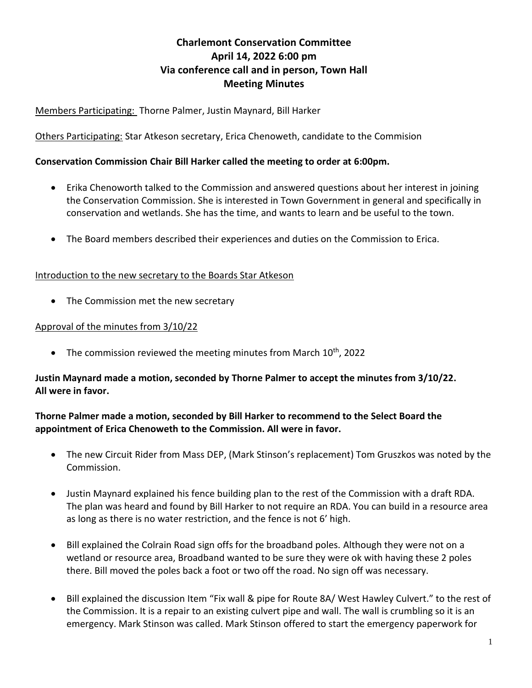# **Charlemont Conservation Committee April 14, 2022 6:00 pm Via conference call and in person, Town Hall Meeting Minutes**

## Members Participating: Thorne Palmer, Justin Maynard, Bill Harker

Others Participating: Star Atkeson secretary, Erica Chenoweth, candidate to the Commision

#### **Conservation Commission Chair Bill Harker called the meeting to order at 6:00pm.**

- Erika Chenoworth talked to the Commission and answered questions about her interest in joining the Conservation Commission. She is interested in Town Government in general and specifically in conservation and wetlands. She has the time, and wants to learn and be useful to the town.
- The Board members described their experiences and duties on the Commission to Erica.

## Introduction to the new secretary to the Boards Star Atkeson

• The Commission met the new secretary

#### Approval of the minutes from 3/10/22

• The commission reviewed the meeting minutes from March  $10^{th}$ , 2022

## **Justin Maynard made a motion, seconded by Thorne Palmer to accept the minutes from 3/10/22. All were in favor.**

#### **Thorne Palmer made a motion, seconded by Bill Harker to recommend to the Select Board the appointment of Erica Chenoweth to the Commission. All were in favor.**

- The new Circuit Rider from Mass DEP, (Mark Stinson's replacement) Tom Gruszkos was noted by the Commission.
- Justin Maynard explained his fence building plan to the rest of the Commission with a draft RDA. The plan was heard and found by Bill Harker to not require an RDA. You can build in a resource area as long as there is no water restriction, and the fence is not 6' high.
- Bill explained the Colrain Road sign offs for the broadband poles. Although they were not on a wetland or resource area, Broadband wanted to be sure they were ok with having these 2 poles there. Bill moved the poles back a foot or two off the road. No sign off was necessary.
- Bill explained the discussion Item "Fix wall & pipe for Route 8A/ West Hawley Culvert." to the rest of the Commission. It is a repair to an existing culvert pipe and wall. The wall is crumbling so it is an emergency. Mark Stinson was called. Mark Stinson offered to start the emergency paperwork for